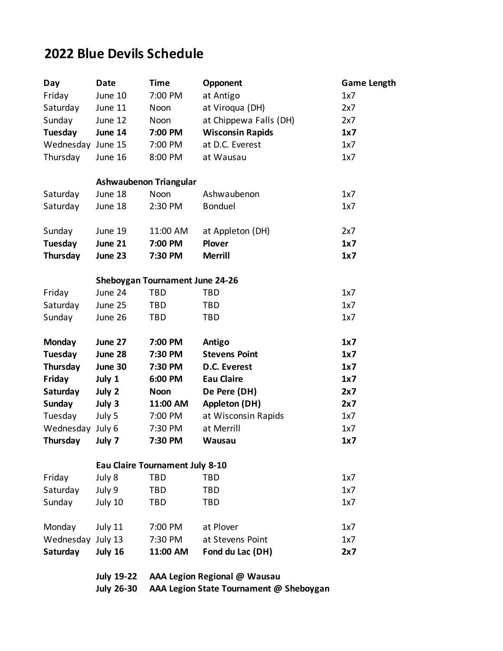## **2022 Blue Devils Schedule**

| Day               | <b>Date</b>            | <b>Time</b>                            | Opponent                                | <b>Game Length</b> |  |  |
|-------------------|------------------------|----------------------------------------|-----------------------------------------|--------------------|--|--|
| Friday            | June 10                | 7:00 PM                                | at Antigo                               | 1x7                |  |  |
| Saturday          | June 11                | Noon                                   | at Viroqua (DH)                         | 2x7                |  |  |
| Sunday            | June 12                | Noon                                   | at Chippewa Falls (DH)                  | 2x7                |  |  |
| Tuesday           | June 14                | 7:00 PM                                | <b>Wisconsin Rapids</b>                 | 1x7                |  |  |
| Wednesday June 15 |                        | 7:00 PM                                | at D.C. Everest                         | 1x7                |  |  |
| Thursday          | June 16                | 8:00 PM                                | at Wausau                               | 1x7                |  |  |
|                   | Ashwaubenon Triangular |                                        |                                         |                    |  |  |
| Saturday          | June 18                | <b>Noon</b>                            | Ashwaubenon                             | 1x7                |  |  |
| Saturday          | June 18                | 2:30 PM                                | <b>Bonduel</b>                          | 1x7                |  |  |
| Sunday            | June 19                | 11:00 AM                               | at Appleton (DH)                        | 2x7                |  |  |
| Tuesday           | June 21                | 7:00 PM                                | <b>Plover</b>                           | 1x7                |  |  |
| Thursday          | June 23                | 7:30 PM                                | <b>Merrill</b>                          | 1x7                |  |  |
|                   |                        | <b>Sheboygan Tournament June 24-26</b> |                                         |                    |  |  |
| Friday            | June 24                | <b>TBD</b>                             | TBD                                     | 1x7                |  |  |
| Saturday          | June 25                | TBD                                    | <b>TBD</b>                              | 1x7                |  |  |
| Sunday            | June 26                | <b>TBD</b>                             | <b>TBD</b>                              | 1x7                |  |  |
| Monday            | June 27                | 7:00 PM                                | Antigo                                  | 1x7                |  |  |
| Tuesday           | June 28                | 7:30 PM                                | <b>Stevens Point</b>                    | 1x7                |  |  |
| Thursday          | June 30                | 7:30 PM                                | D.C. Everest                            | 1x7                |  |  |
| Friday            | July 1                 | 6:00 PM                                | <b>Eau Claire</b>                       | 1x7                |  |  |
| Saturday          | July 2                 | <b>Noon</b>                            | De Pere (DH)                            | 2x7                |  |  |
| <b>Sunday</b>     | July 3                 | 11:00 AM                               | <b>Appleton (DH)</b>                    | 2x7                |  |  |
| Tuesday           | July 5                 | 7:00 PM                                | at Wisconsin Rapids                     | 1x7                |  |  |
| Wednesday July 6  |                        | 7:30 PM                                | at Merrill                              | 1x7                |  |  |
| Thursday          | July 7                 | 7:30 PM                                | <b>Wausau</b>                           | 1x7                |  |  |
|                   |                        | <b>Eau Claire Tournament July 8-10</b> |                                         |                    |  |  |
| Friday            | July 8                 | <b>TBD</b>                             | <b>TBD</b>                              | 1x7                |  |  |
| Saturday          | July 9                 | TBD                                    | TBD                                     | 1x7                |  |  |
| Sunday            | July 10                | <b>TBD</b>                             | TBD                                     | 1x7                |  |  |
| Monday            | July 11                | 7:00 PM                                | at Plover                               | 1x7                |  |  |
| Wednesday July 13 |                        | 7:30 PM                                | at Stevens Point                        | 1x7                |  |  |
| Saturday          | July 16                | 11:00 AM                               | Fond du Lac (DH)                        | 2x7                |  |  |
|                   | <b>July 19-22</b>      |                                        | AAA Legion Regional @ Wausau            |                    |  |  |
|                   | <b>July 26-30</b>      |                                        | AAA Legion State Tournament @ Sheboygan |                    |  |  |